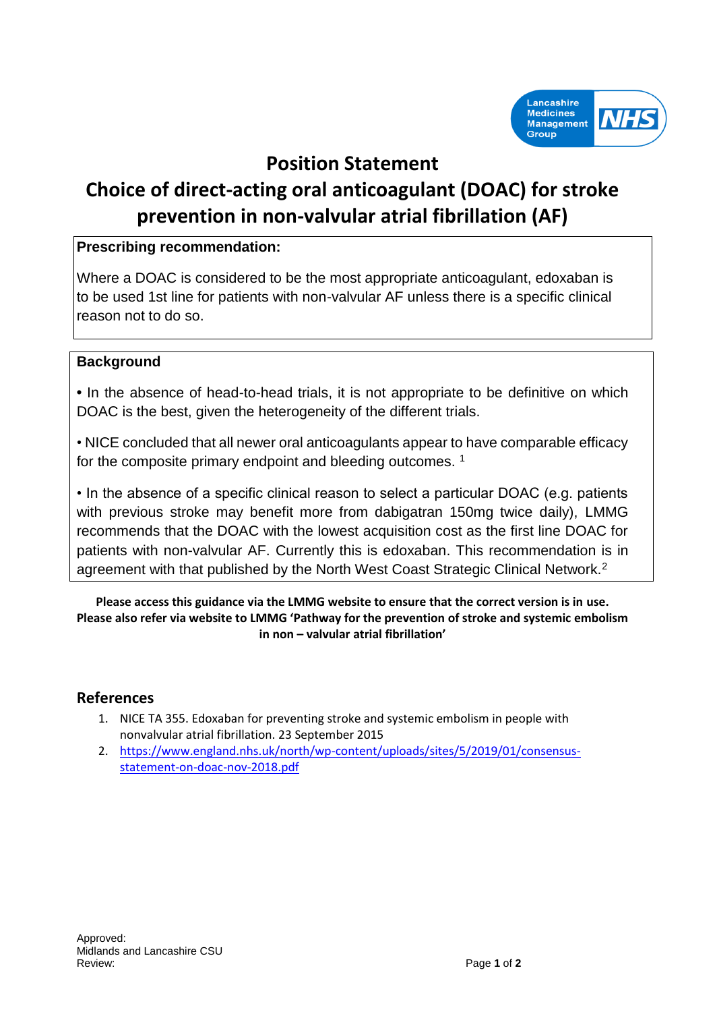

## **Position Statement**

# **Choice of direct-acting oral anticoagulant (DOAC) for stroke prevention in non-valvular atrial fibrillation (AF)**

#### **Prescribing recommendation:**

Where a DOAC is considered to be the most appropriate anticoagulant, edoxaban is to be used 1st line for patients with non-valvular AF unless there is a specific clinical reason not to do so.

#### **Background**

**•** In the absence of head-to-head trials, it is not appropriate to be definitive on which DOAC is the best, given the heterogeneity of the different trials.

• NICE concluded that all newer oral anticoagulants appear to have comparable efficacy for the composite primary endpoint and bleeding outcomes.<sup>1</sup>

• In the absence of a specific clinical reason to select a particular DOAC (e.g. patients with previous stroke may benefit more from dabigatran 150mg twice daily), LMMG recommends that the DOAC with the lowest acquisition cost as the first line DOAC for patients with non-valvular AF. Currently this is edoxaban. This recommendation is in agreement with that published by the North West Coast Strategic Clinical Network.<sup>2</sup>

**Please access this guidance via the LMMG website to ensure that the correct version is in use. Please also refer via website to LMMG 'Pathway for the prevention of stroke and systemic embolism in non – valvular atrial fibrillation'**

### **References**

- 1. NICE TA 355. Edoxaban for preventing stroke and systemic embolism in people with nonvalvular atrial fibrillation. 23 September 2015
- 2. [https://www.england.nhs.uk/north/wp-content/uploads/sites/5/2019/01/consensus](https://www.england.nhs.uk/north/wp-content/uploads/sites/5/2019/01/consensus-statement-on-doac-nov-2018.pdf)[statement-on-doac-nov-2018.pdf](https://www.england.nhs.uk/north/wp-content/uploads/sites/5/2019/01/consensus-statement-on-doac-nov-2018.pdf)